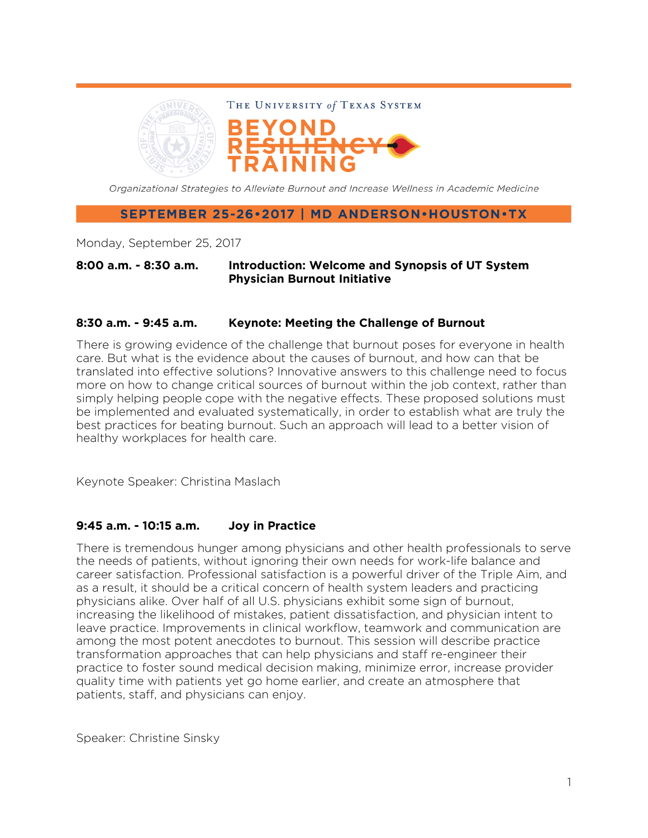

Organizational Strategies to Alleviate Burnout and Increase Wellness in Academic Medicine

#### SEPTEMBER 25-26-2017 | MD ANDERSON-HOUSTON-TX

Monday, September 25, 2017

### **8:00 a.m. - 8:30 a.m. Introduction: Welcome and Synopsis of UT System Physician Burnout Initiative**

#### **8:30 a.m. - 9:45 a.m. Keynote: Meeting the Challenge of Burnout**

There is growing evidence of the challenge that burnout poses for everyone in health care. But what is the evidence about the causes of burnout, and how can that be translated into effective solutions? Innovative answers to this challenge need to focus more on how to change critical sources of burnout within the job context, rather than simply helping people cope with the negative effects. These proposed solutions must be implemented and evaluated systematically, in order to establish what are truly the best practices for beating burnout. Such an approach will lead to a better vision of healthy workplaces for health care.

Keynote Speaker: Christina Maslach

#### **9:45 a.m. - 10:15 a.m. Joy in Practice**

There is tremendous hunger among physicians and other health professionals to serve the needs of patients, without ignoring their own needs for work-life balance and career satisfaction. Professional satisfaction is a powerful driver of the Triple Aim, and as a result, it should be a critical concern of health system leaders and practicing physicians alike. Over half of all U.S. physicians exhibit some sign of burnout, increasing the likelihood of mistakes, patient dissatisfaction, and physician intent to leave practice. Improvements in clinical workflow, teamwork and communication are among the most potent anecdotes to burnout. This session will describe practice transformation approaches that can help physicians and staff re-engineer their practice to foster sound medical decision making, minimize error, increase provider quality time with patients yet go home earlier, and create an atmosphere that patients, staff, and physicians can enjoy.

Speaker: Christine Sinsky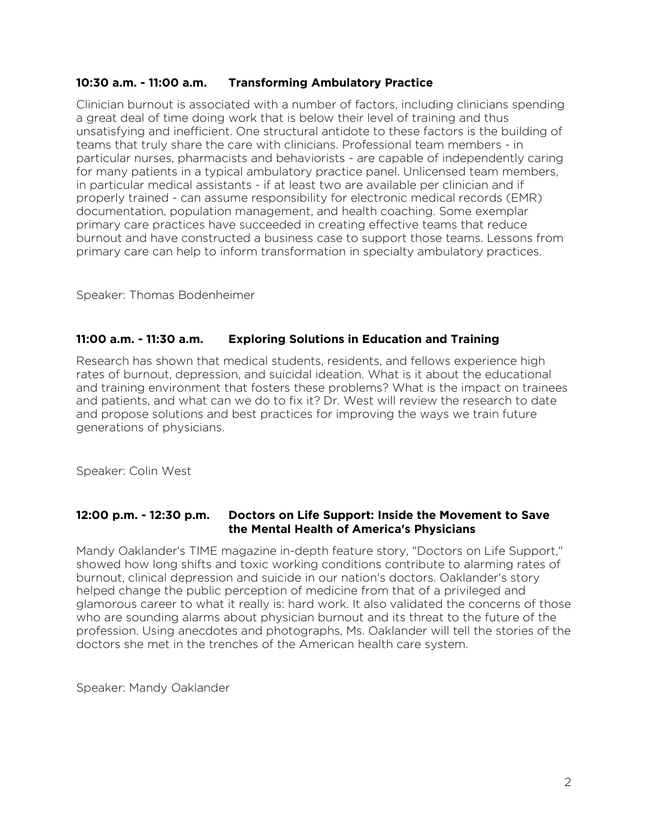# **10:30 a.m. - 11:00 a.m. Transforming Ambulatory Practice**

Clinician burnout is associated with a number of factors, including clinicians spending a great deal of time doing work that is below their level of training and thus unsatisfying and inefficient. One structural antidote to these factors is the building of teams that truly share the care with clinicians. Professional team members - in particular nurses, pharmacists and behaviorists - are capable of independently caring for many patients in a typical ambulatory practice panel. Unlicensed team members, in particular medical assistants - if at least two are available per clinician and if properly trained - can assume responsibility for electronic medical records (EMR) documentation, population management, and health coaching. Some exemplar primary care practices have succeeded in creating effective teams that reduce burnout and have constructed a business case to support those teams. Lessons from primary care can help to inform transformation in specialty ambulatory practices.

Speaker: Thomas Bodenheimer

## **11:00 a.m. - 11:30 a.m. Exploring Solutions in Education and Training**

Research has shown that medical students, residents, and fellows experience high rates of burnout, depression, and suicidal ideation. What is it about the educational and training environment that fosters these problems? What is the impact on trainees and patients, and what can we do to fix it? Dr. West will review the research to date and propose solutions and best practices for improving the ways we train future generations of physicians.

Speaker: Colin West

## **12:00 p.m. - 12:30 p.m. Doctors on Life Support: Inside the Movement to Save the Mental Health of America's Physicians**

Mandy Oaklander's TIME magazine in-depth feature story, "Doctors on Life Support," showed how long shifts and toxic working conditions contribute to alarming rates of burnout, clinical depression and suicide in our nation's doctors. Oaklander's story helped change the public perception of medicine from that of a privileged and glamorous career to what it really is: hard work. It also validated the concerns of those who are sounding alarms about physician burnout and its threat to the future of the profession. Using anecdotes and photographs, Ms. Oaklander will tell the stories of the doctors she met in the trenches of the American health care system.

Speaker: Mandy Oaklander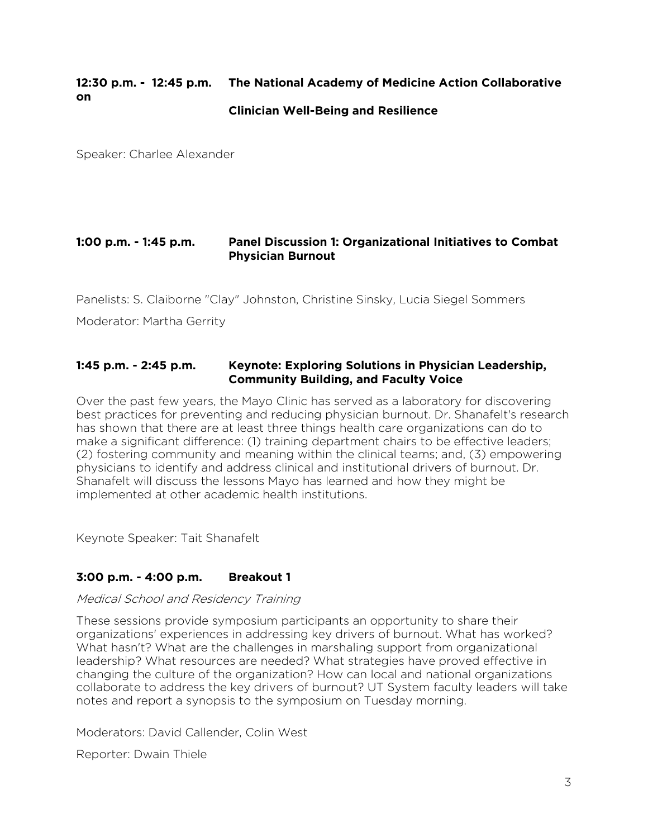#### **12:30 p.m. - 12:45 p.m. The National Academy of Medicine Action Collaborative on Clinician Well-Being and Resilience**

Speaker: Charlee Alexander

# **1:00 p.m. - 1:45 p.m. Panel Discussion 1: Organizational Initiatives to Combat Physician Burnout**

Panelists: S. Claiborne "Clay" Johnston, Christine Sinsky, Lucia Siegel Sommers

Moderator: Martha Gerrity

### **1:45 p.m. - 2:45 p.m. Keynote: Exploring Solutions in Physician Leadership, Community Building, and Faculty Voice**

Over the past few years, the Mayo Clinic has served as a laboratory for discovering best practices for preventing and reducing physician burnout. Dr. Shanafelt's research has shown that there are at least three things health care organizations can do to make a significant difference: (1) training department chairs to be effective leaders; (2) fostering community and meaning within the clinical teams; and, (3) empowering physicians to identify and address clinical and institutional drivers of burnout. Dr. Shanafelt will discuss the lessons Mayo has learned and how they might be implemented at other academic health institutions.

Keynote Speaker: Tait Shanafelt

# **3:00 p.m. - 4:00 p.m. Breakout 1**

#### Medical School and Residency Training

These sessions provide symposium participants an opportunity to share their organizations' experiences in addressing key drivers of burnout. What has worked? What hasn't? What are the challenges in marshaling support from organizational leadership? What resources are needed? What strategies have proved effective in changing the culture of the organization? How can local and national organizations collaborate to address the key drivers of burnout? UT System faculty leaders will take notes and report a synopsis to the symposium on Tuesday morning.

Moderators: David Callender, Colin West

Reporter: Dwain Thiele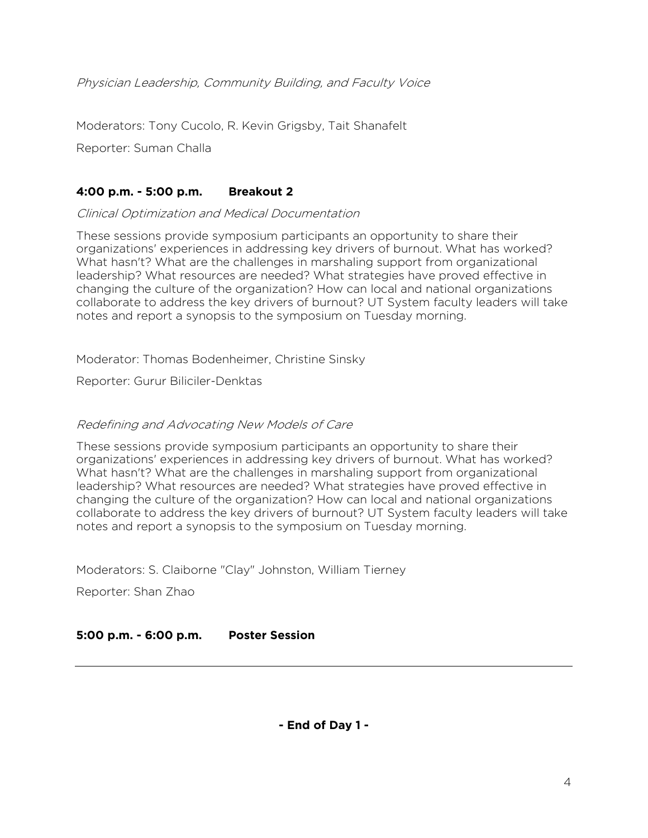Physician Leadership, Community Building, and Faculty Voice

Moderators: Tony Cucolo, R. Kevin Grigsby, Tait Shanafelt

Reporter: Suman Challa

# **4:00 p.m. - 5:00 p.m. Breakout 2**

## Clinical Optimization and Medical Documentation

These sessions provide symposium participants an opportunity to share their organizations' experiences in addressing key drivers of burnout. What has worked? What hasn't? What are the challenges in marshaling support from organizational leadership? What resources are needed? What strategies have proved effective in changing the culture of the organization? How can local and national organizations collaborate to address the key drivers of burnout? UT System faculty leaders will take notes and report a synopsis to the symposium on Tuesday morning.

Moderator: Thomas Bodenheimer, Christine Sinsky

Reporter: Gurur Biliciler-Denktas

# Redefining and Advocating New Models of Care

These sessions provide symposium participants an opportunity to share their organizations' experiences in addressing key drivers of burnout. What has worked? What hasn't? What are the challenges in marshaling support from organizational leadership? What resources are needed? What strategies have proved effective in changing the culture of the organization? How can local and national organizations collaborate to address the key drivers of burnout? UT System faculty leaders will take notes and report a synopsis to the symposium on Tuesday morning.

Moderators: S. Claiborne "Clay" Johnston, William Tierney

Reporter: Shan Zhao

**5:00 p.m. - 6:00 p.m. Poster Session**

**- End of Day 1 -**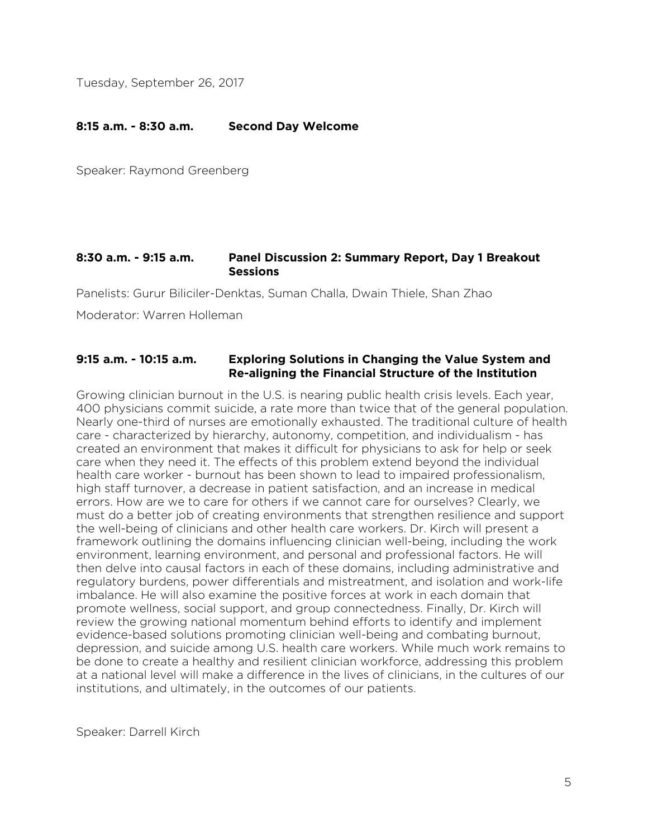Tuesday, September 26, 2017

# **8:15 a.m. - 8:30 a.m. Second Day Welcome**

Speaker: Raymond Greenberg

## **8:30 a.m. - 9:15 a.m. Panel Discussion 2: Summary Report, Day 1 Breakout Sessions**

Panelists: Gurur Biliciler-Denktas, Suman Challa, Dwain Thiele, Shan Zhao

Moderator: Warren Holleman

### **9:15 a.m. - 10:15 a.m. Exploring Solutions in Changing the Value System and Re-aligning the Financial Structure of the Institution**

Growing clinician burnout in the U.S. is nearing public health crisis levels. Each year, 400 physicians commit suicide, a rate more than twice that of the general population. Nearly one-third of nurses are emotionally exhausted. The traditional culture of health care - characterized by hierarchy, autonomy, competition, and individualism - has created an environment that makes it difficult for physicians to ask for help or seek care when they need it. The effects of this problem extend beyond the individual health care worker - burnout has been shown to lead to impaired professionalism, high staff turnover, a decrease in patient satisfaction, and an increase in medical errors. How are we to care for others if we cannot care for ourselves? Clearly, we must do a better job of creating environments that strengthen resilience and support the well-being of clinicians and other health care workers. Dr. Kirch will present a framework outlining the domains influencing clinician well-being, including the work environment, learning environment, and personal and professional factors. He will then delve into causal factors in each of these domains, including administrative and regulatory burdens, power differentials and mistreatment, and isolation and work-life imbalance. He will also examine the positive forces at work in each domain that promote wellness, social support, and group connectedness. Finally, Dr. Kirch will review the growing national momentum behind efforts to identify and implement evidence-based solutions promoting clinician well-being and combating burnout, depression, and suicide among U.S. health care workers. While much work remains to be done to create a healthy and resilient clinician workforce, addressing this problem at a national level will make a difference in the lives of clinicians, in the cultures of our institutions, and ultimately, in the outcomes of our patients.

Speaker: Darrell Kirch